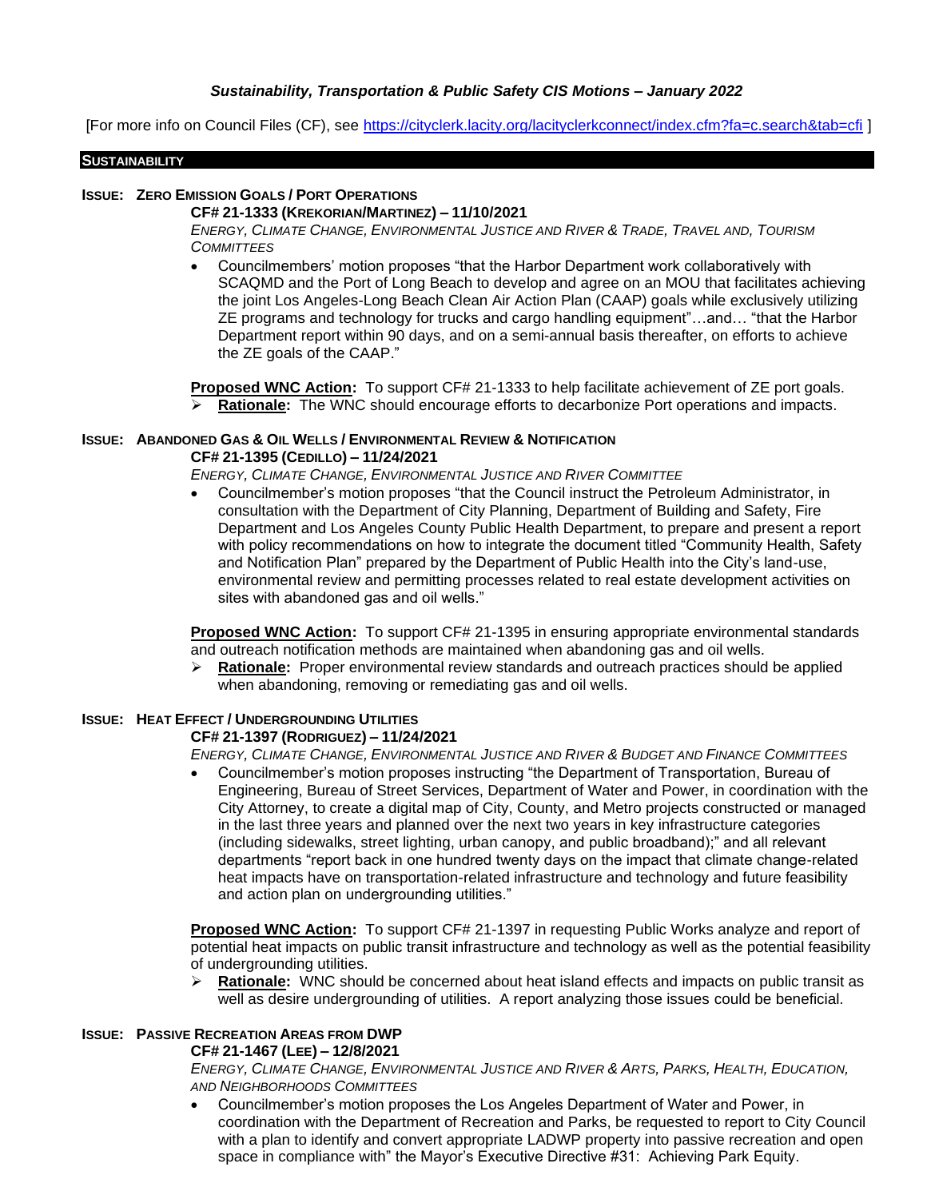# *Sustainability, Transportation & Public Safety CIS Motions – January 2022*

[For more info on Council Files (CF), see<https://cityclerk.lacity.org/lacityclerkconnect/index.cfm?fa=c.search&tab=cfi> ]

#### **SUSTAINABILITY**

## **ISSUE: ZERO EMISSION GOALS / PORT OPERATIONS**

## **CF# 21-1333 (KREKORIAN/MARTINEZ) – 11/10/2021**

ENERGY, CLIMATE CHANGE, ENVIRONMENTAL JUSTICE AND RIVER & TRADE, TRAVEL AND, TOURISM *COMMITTEES*

• Councilmembers' motion proposes "that the Harbor Department work collaboratively with SCAQMD and the Port of Long Beach to develop and agree on an MOU that facilitates achieving the joint Los Angeles-Long Beach Clean Air Action Plan (CAAP) goals while exclusively utilizing ZE programs and technology for trucks and cargo handling equipment"…and… "that the Harbor Department report within 90 days, and on a semi-annual basis thereafter, on efforts to achieve the ZE goals of the CAAP."

**Proposed WNC Action:** To support CF# 21-1333 to help facilitate achievement of ZE port goals. ➢ **Rationale:** The WNC should encourage efforts to decarbonize Port operations and impacts.

# **ISSUE: ABANDONED GAS & OIL WELLS / ENVIRONMENTAL REVIEW & NOTIFICATION CF# 21-1395 (CEDILLO) – 11/24/2021**

*ENERGY, CLIMATE CHANGE, ENVIRONMENTAL JUSTICE AND RIVER COMMITTEE*

• Councilmember's motion proposes "that the Council instruct the Petroleum Administrator, in consultation with the Department of City Planning, Department of Building and Safety, Fire Department and Los Angeles County Public Health Department, to prepare and present a report with policy recommendations on how to integrate the document titled "Community Health, Safety and Notification Plan" prepared by the Department of Public Health into the City's land-use, environmental review and permitting processes related to real estate development activities on sites with abandoned gas and oil wells."

**Proposed WNC Action:** To support CF# 21-1395 in ensuring appropriate environmental standards and outreach notification methods are maintained when abandoning gas and oil wells.

➢ **Rationale:** Proper environmental review standards and outreach practices should be applied when abandoning, removing or remediating gas and oil wells.

# **ISSUE: HEAT EFFECT / UNDERGROUNDING UTILITIES**

## **CF# 21-1397 (RODRIGUEZ) – 11/24/2021**

ENERGY, CLIMATE CHANGE, ENVIRONMENTAL JUSTICE AND RIVER & BUDGET AND FINANCE COMMITTEES

• Councilmember's motion proposes instructing "the Department of Transportation, Bureau of Engineering, Bureau of Street Services, Department of Water and Power, in coordination with the City Attorney, to create a digital map of City, County, and Metro projects constructed or managed in the last three years and planned over the next two years in key infrastructure categories (including sidewalks, street lighting, urban canopy, and public broadband);" and all relevant departments "report back in one hundred twenty days on the impact that climate change-related heat impacts have on transportation-related infrastructure and technology and future feasibility and action plan on undergrounding utilities."

**Proposed WNC Action:** To support CF# 21-1397 in requesting Public Works analyze and report of potential heat impacts on public transit infrastructure and technology as well as the potential feasibility of undergrounding utilities.

➢ **Rationale:** WNC should be concerned about heat island effects and impacts on public transit as well as desire undergrounding of utilities. A report analyzing those issues could be beneficial.

# **ISSUE: PASSIVE RECREATION AREAS FROM DWP**

## **CF# 21-1467 (LEE) – 12/8/2021**

ENERGY, CLIMATE CHANGE, ENVIRONMENTAL JUSTICE AND RIVER & ARTS, PARKS, HEALTH, EDUCATION, *AND NEIGHBORHOODS COMMITTEES*

• Councilmember's motion proposes the Los Angeles Department of Water and Power, in coordination with the Department of Recreation and Parks, be requested to report to City Council with a plan to identify and convert appropriate LADWP property into passive recreation and open space in compliance with" the Mayor's Executive Directive #31: Achieving Park Equity.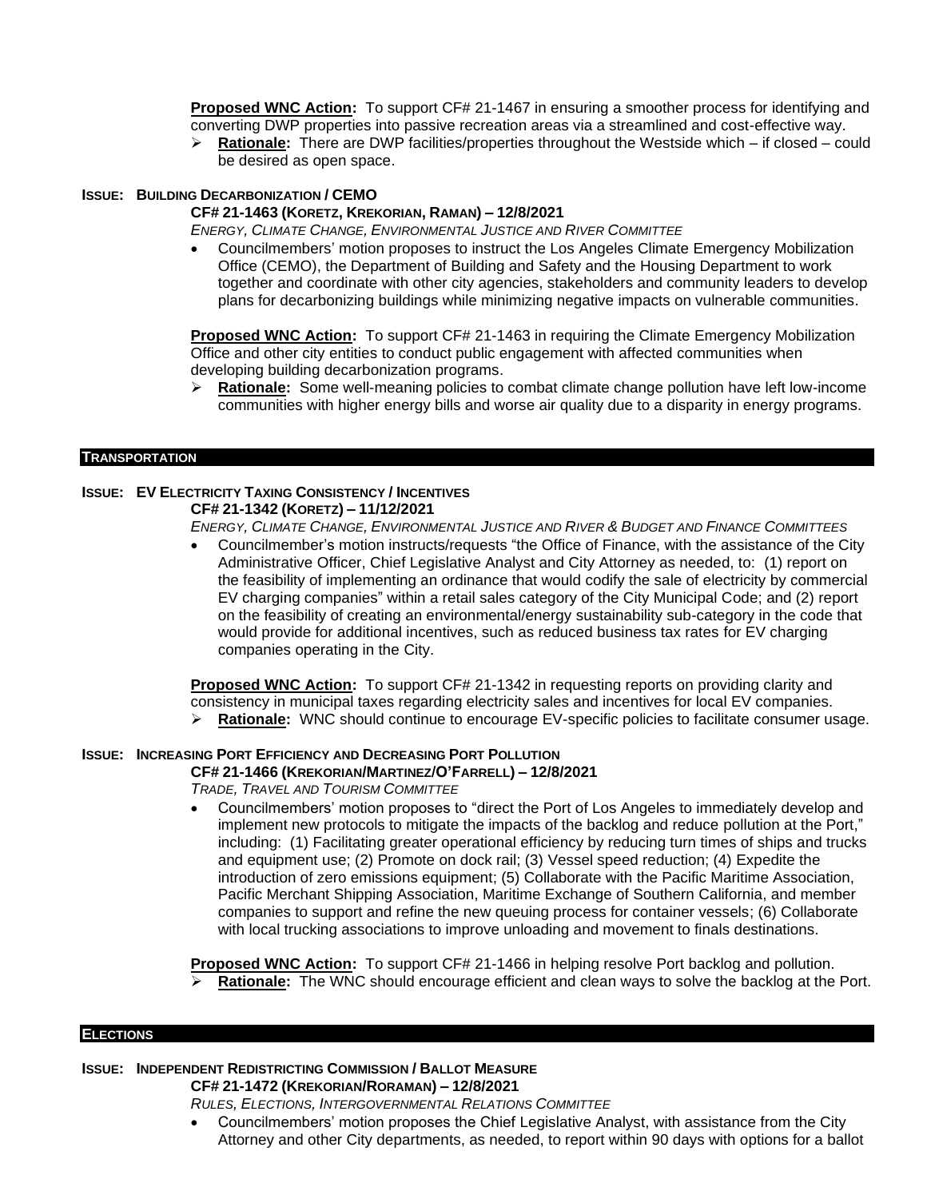**Proposed WNC Action:** To support CF# 21-1467 in ensuring a smoother process for identifying and converting DWP properties into passive recreation areas via a streamlined and cost-effective way.

➢ **Rationale:** There are DWP facilities/properties throughout the Westside which – if closed – could be desired as open space.

## **ISSUE: BUILDING DECARBONIZATION / CEMO**

## **CF# 21-1463 (KORETZ, KREKORIAN, RAMAN) – 12/8/2021**

*ENERGY, CLIMATE CHANGE, ENVIRONMENTAL JUSTICE AND RIVER COMMITTEE*

• Councilmembers' motion proposes to instruct the Los Angeles Climate Emergency Mobilization Office (CEMO), the Department of Building and Safety and the Housing Department to work together and coordinate with other city agencies, stakeholders and community leaders to develop plans for decarbonizing buildings while minimizing negative impacts on vulnerable communities.

**Proposed WNC Action:** To support CF# 21-1463 in requiring the Climate Emergency Mobilization Office and other city entities to conduct public engagement with affected communities when developing building decarbonization programs.

➢ **Rationale:** Some well-meaning policies to combat climate change pollution have left low-income communities with higher energy bills and worse air quality due to a disparity in energy programs.

## **TRANSPORTATION**

## **ISSUE: EV ELECTRICITY TAXING CONSISTENCY / INCENTIVES CF# 21-1342 (KORETZ) – 11/12/2021**

ENERGY, CLIMATE CHANGE, ENVIRONMENTAL JUSTICE AND RIVER & BUDGET AND FINANCE COMMITTEES

• Councilmember's motion instructs/requests "the Office of Finance, with the assistance of the City Administrative Officer, Chief Legislative Analyst and City Attorney as needed, to: (1) report on the feasibility of implementing an ordinance that would codify the sale of electricity by commercial EV charging companies" within a retail sales category of the City Municipal Code; and (2) report on the feasibility of creating an environmental/energy sustainability sub-category in the code that would provide for additional incentives, such as reduced business tax rates for EV charging companies operating in the City.

**Proposed WNC Action:** To support CF# 21-1342 in requesting reports on providing clarity and consistency in municipal taxes regarding electricity sales and incentives for local EV companies. ➢ **Rationale:** WNC should continue to encourage EV-specific policies to facilitate consumer usage.

# **ISSUE: INCREASING PORT EFFICIENCY AND DECREASING PORT POLLUTION**

**CF# 21-1466 (KREKORIAN/MARTINEZ/O'FARRELL) – 12/8/2021**

*TRADE, TRAVEL AND TOURISM COMMITTEE*

• Councilmembers' motion proposes to "direct the Port of Los Angeles to immediately develop and implement new protocols to mitigate the impacts of the backlog and reduce pollution at the Port," including: (1) Facilitating greater operational efficiency by reducing turn times of ships and trucks and equipment use; (2) Promote on dock rail; (3) Vessel speed reduction; (4) Expedite the introduction of zero emissions equipment; (5) Collaborate with the Pacific Maritime Association, Pacific Merchant Shipping Association, Maritime Exchange of Southern California, and member companies to support and refine the new queuing process for container vessels; (6) Collaborate with local trucking associations to improve unloading and movement to finals destinations.

**Proposed WNC Action:** To support CF# 21-1466 in helping resolve Port backlog and pollution. Rationale: The WNC should encourage efficient and clean ways to solve the backlog at the Port.

#### **ELECTIONS**

# **ISSUE: INDEPENDENT REDISTRICTING COMMISSION / BALLOT MEASURE**

**CF# 21-1472 (KREKORIAN/RORAMAN) – 12/8/2021**

*RULES, ELECTIONS, INTERGOVERNMENTAL RELATIONS COMMITTEE*

• Councilmembers' motion proposes the Chief Legislative Analyst, with assistance from the City Attorney and other City departments, as needed, to report within 90 days with options for a ballot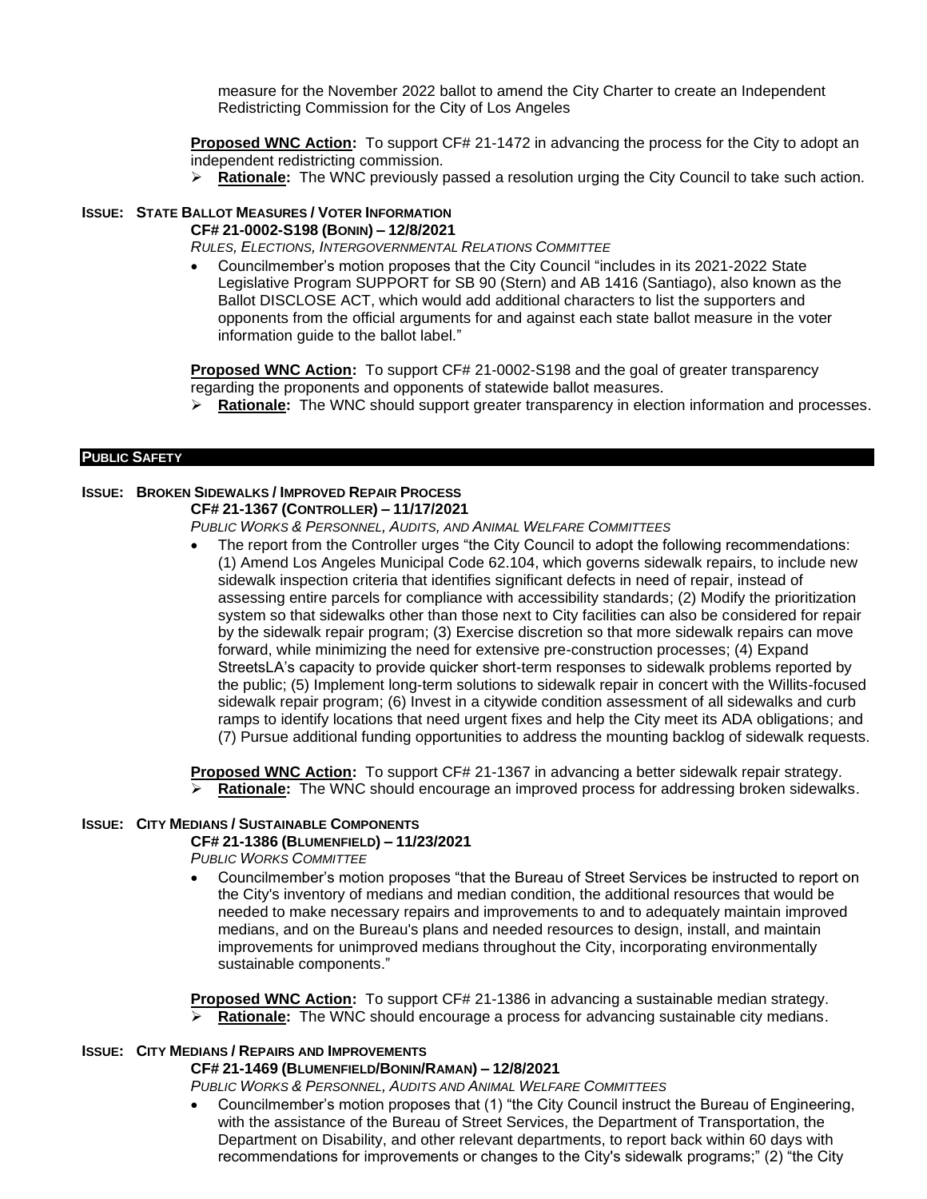measure for the November 2022 ballot to amend the City Charter to create an Independent Redistricting Commission for the City of Los Angeles

**Proposed WNC Action:** To support CF# 21-1472 in advancing the process for the City to adopt an independent redistricting commission.

➢ **Rationale:** The WNC previously passed a resolution urging the City Council to take such action.

# **ISSUE: STATE BALLOT MEASURES / VOTER INFORMATION**

**CF# 21-0002-S198 (BONIN) – 12/8/2021**

*RULES, ELECTIONS, INTERGOVERNMENTAL RELATIONS COMMITTEE*

• Councilmember's motion proposes that the City Council "includes in its 2021-2022 State Legislative Program SUPPORT for SB 90 (Stern) and AB 1416 (Santiago), also known as the Ballot DISCLOSE ACT, which would add additional characters to list the supporters and opponents from the official arguments for and against each state ballot measure in the voter information guide to the ballot label."

**Proposed WNC Action:** To support CF# 21-0002-S198 and the goal of greater transparency regarding the proponents and opponents of statewide ballot measures.

➢ **Rationale:** The WNC should support greater transparency in election information and processes.

## **PUBLIC SAFETY**

# **ISSUE: BROKEN SIDEWALKS / IMPROVED REPAIR PROCESS**

**CF# 21-1367 (CONTROLLER) – 11/17/2021**

*PUBLIC WORKS & PERSONNEL, AUDITS, AND ANIMAL WELFARE COMMITTEES*

• The report from the Controller urges "the City Council to adopt the following recommendations: (1) Amend Los Angeles Municipal Code 62.104, which governs sidewalk repairs, to include new sidewalk inspection criteria that identifies significant defects in need of repair, instead of assessing entire parcels for compliance with accessibility standards; (2) Modify the prioritization system so that sidewalks other than those next to City facilities can also be considered for repair by the sidewalk repair program; (3) Exercise discretion so that more sidewalk repairs can move forward, while minimizing the need for extensive pre-construction processes; (4) Expand StreetsLA's capacity to provide quicker short-term responses to sidewalk problems reported by the public; (5) Implement long-term solutions to sidewalk repair in concert with the Willits-focused sidewalk repair program; (6) Invest in a citywide condition assessment of all sidewalks and curb ramps to identify locations that need urgent fixes and help the City meet its ADA obligations; and (7) Pursue additional funding opportunities to address the mounting backlog of sidewalk requests.

**Proposed WNC Action:** To support CF# 21-1367 in advancing a better sidewalk repair strategy. ➢ **Rationale:** The WNC should encourage an improved process for addressing broken sidewalks.

# **ISSUE: CITY MEDIANS / SUSTAINABLE COMPONENTS**

# **CF# 21-1386 (BLUMENFIELD) – 11/23/2021**

*PUBLIC WORKS COMMITTEE*

• Councilmember's motion proposes "that the Bureau of Street Services be instructed to report on the City's inventory of medians and median condition, the additional resources that would be needed to make necessary repairs and improvements to and to adequately maintain improved medians, and on the Bureau's plans and needed resources to design, install, and maintain improvements for unimproved medians throughout the City, incorporating environmentally sustainable components."

**Proposed WNC Action:** To support CF# 21-1386 in advancing a sustainable median strategy. Rationale: The WNC should encourage a process for advancing sustainable city medians.

# **ISSUE: CITY MEDIANS / REPAIRS AND IMPROVEMENTS**

# **CF# 21-1469 (BLUMENFIELD/BONIN/RAMAN) – 12/8/2021**

*PUBLIC WORKS & PERSONNEL, AUDITS AND ANIMAL WELFARE COMMITTEES*

• Councilmember's motion proposes that (1) "the City Council instruct the Bureau of Engineering, with the assistance of the Bureau of Street Services, the Department of Transportation, the Department on Disability, and other relevant departments, to report back within 60 days with recommendations for improvements or changes to the City's sidewalk programs;" (2) "the City